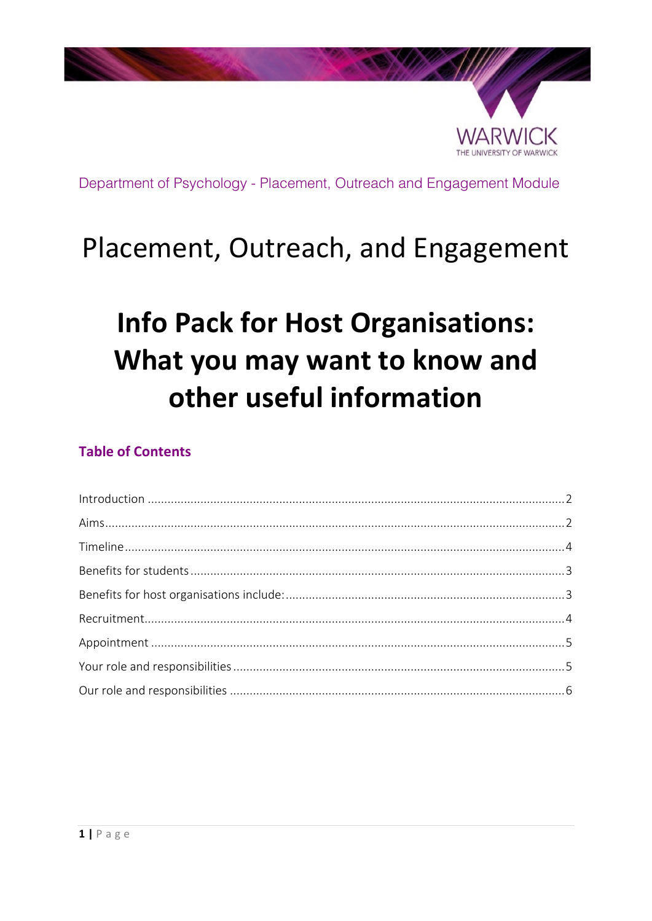

## Placement, Outreach, and Engagement

# **Info Pack for Host Organisations:** What you may want to know and other useful information

## **Table of Contents**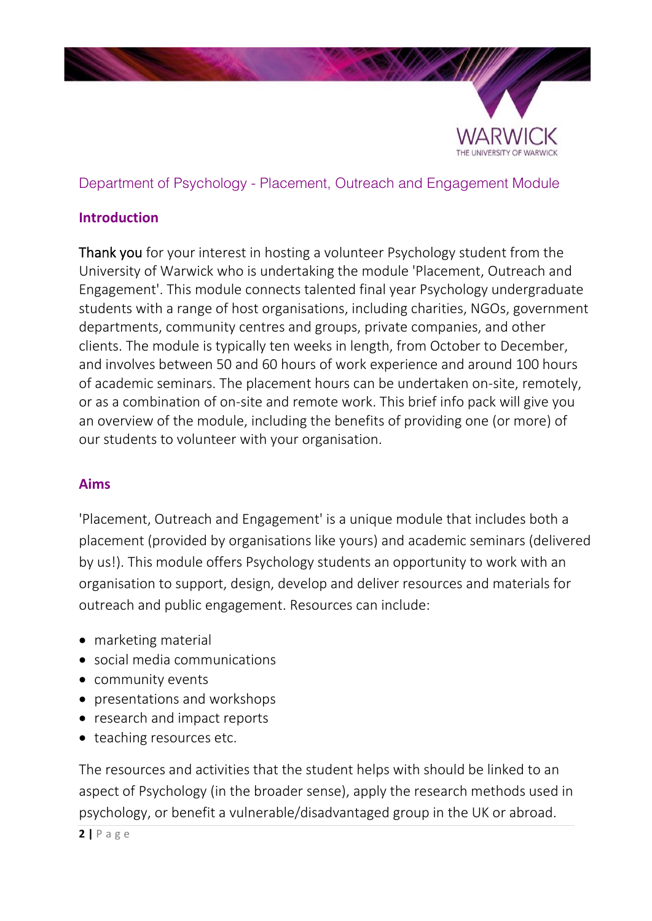

## <span id="page-1-0"></span>**Introduction**

Thank you for your interest in hosting a volunteer Psychology student from the University of Warwick who is undertaking the module 'Placement, Outreach and Engagement'. This module connects talented final year Psychology undergraduate students with a range of host organisations, including charities, NGOs, government departments, community centres and groups, private companies, and other clients. The module is typically ten weeks in length, from October to December, and involves between 50 and 60 hours of work experience and around 100 hours of academic seminars. The placement hours can be undertaken on-site, remotely, or as a combination of on-site and remote work. This brief info pack will give you an overview of the module, including the benefits of providing one (or more) of our students to volunteer with your organisation.

## <span id="page-1-1"></span>**Aims**

'Placement, Outreach and Engagement' is a unique module that includes both a placement (provided by organisations like yours) and academic seminars (delivered by us!). This module offers Psychology students an opportunity to work with an organisation to support, design, develop and deliver resources and materials for outreach and public engagement. Resources can include:

- marketing material
- social media communications
- community events
- presentations and workshops
- research and impact reports
- teaching resources etc.

The resources and activities that the student helps with should be linked to an aspect of Psychology (in the broader sense), apply the research methods used in psychology, or benefit a vulnerable/disadvantaged group in the UK or abroad.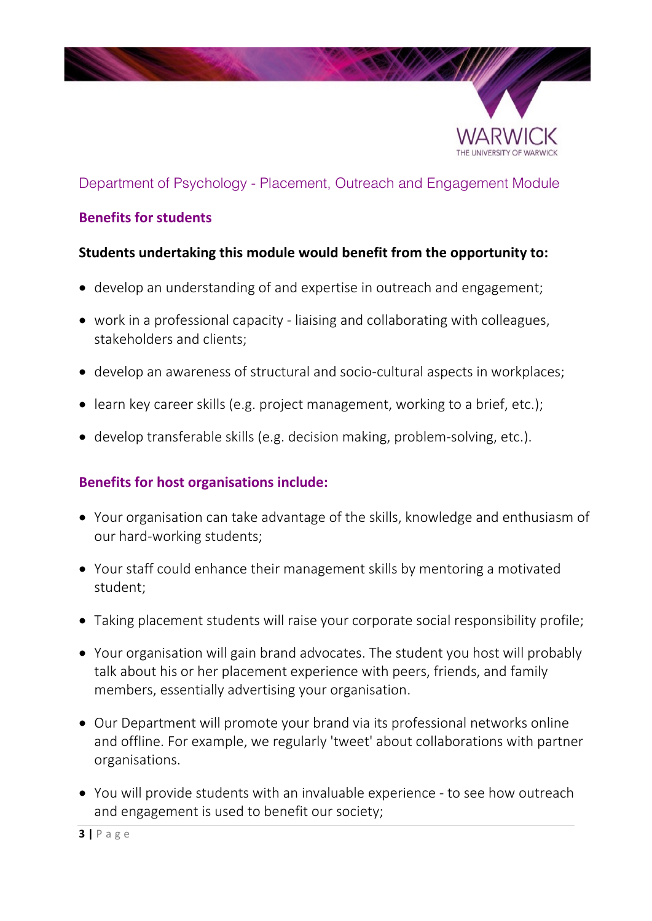

## <span id="page-2-0"></span>**Benefits for students**

## **Students undertaking this module would benefit from the opportunity to:**

- develop an understanding of and expertise in outreach and engagement;
- work in a professional capacity liaising and collaborating with colleagues, stakeholders and clients;
- develop an awareness of structural and socio-cultural aspects in workplaces;
- learn key career skills (e.g. project management, working to a brief, etc.);
- <span id="page-2-1"></span>develop transferable skills (e.g. decision making, problem-solving, etc.).

## **Benefits for host organisations include:**

- Your organisation can take advantage of the skills, knowledge and enthusiasm of our hard-working students;
- Your staff could enhance their management skills by mentoring a motivated student;
- Taking placement students will raise your corporate social responsibility profile;
- Your organisation will gain brand advocates. The student you host will probably talk about his or her placement experience with peers, friends, and family members, essentially advertising your organisation.
- Our Department will promote your brand via its professional networks online and offline. For example, we regularly 'tweet' about collaborations with partner organisations.
- You will provide students with an invaluable experience to see how outreach and engagement is used to benefit our society;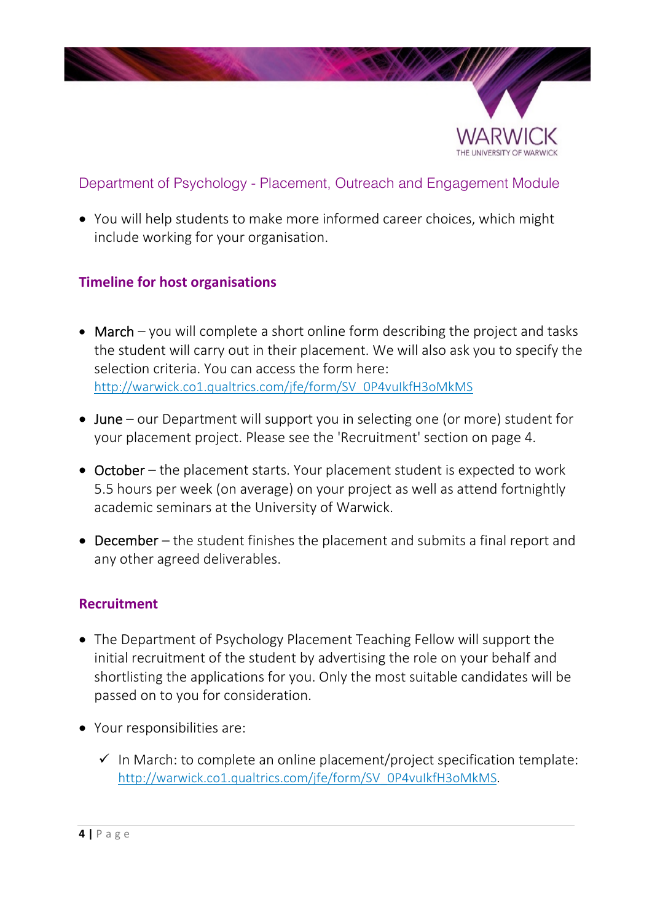

 You will help students to make more informed career choices, which might include working for your organisation.

## <span id="page-3-0"></span>**Timeline for host organisations**

- March you will complete a short online form describing the project and tasks the student will carry out in their placement. We will also ask you to specify the selection criteria. You can access the form here: [http://warwick.co1.qualtrics.com/jfe/form/SV\\_0P4vuIkfH3oMkMS](http://warwick.co1.qualtrics.com/jfe/form/SV_0P4vuIkfH3oMkMS)
- June our Department will support you in selecting one (or more) student for your placement project. Please see the 'Recruitment' section on page 4.
- October the placement starts. Your placement student is expected to work 5.5 hours per week (on average) on your project as well as attend fortnightly academic seminars at the University of Warwick.
- December the student finishes the placement and submits a final report and any other agreed deliverables.

## <span id="page-3-1"></span>**Recruitment**

- The Department of Psychology Placement Teaching Fellow will support the initial recruitment of the student by advertising the role on your behalf and shortlisting the applications for you. Only the most suitable candidates will be passed on to you for consideration.
- Your responsibilities are:
	- $\checkmark$  In March: to complete an online placement/project specification template: [http://warwick.co1.qualtrics.com/jfe/form/SV\\_0P4vuIkfH3oMkMS.](http://warwick.co1.qualtrics.com/jfe/form/SV_0P4vuIkfH3oMkMS)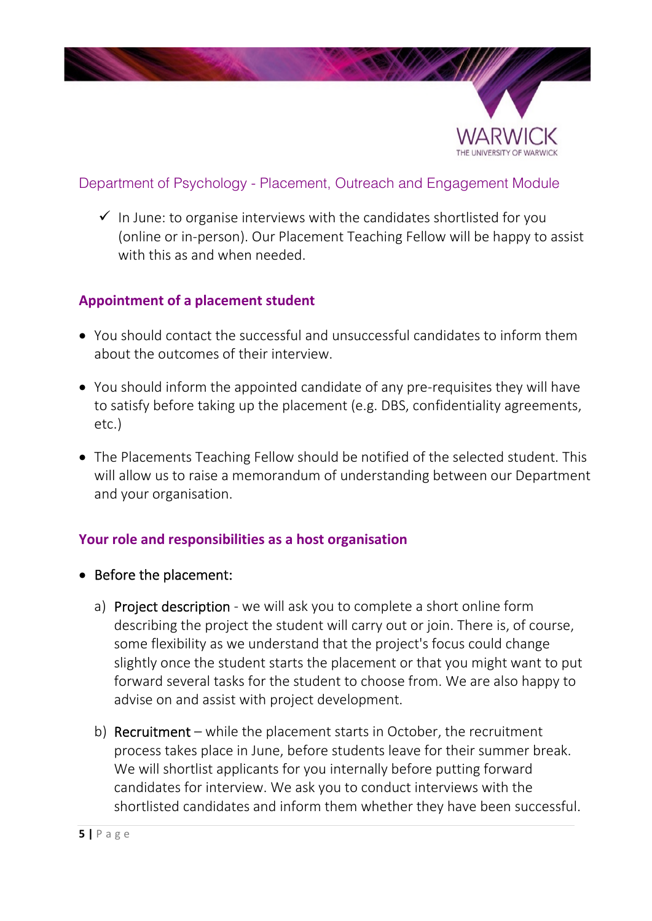

 $\checkmark$  In June: to organise interviews with the candidates shortlisted for you (online or in-person). Our Placement Teaching Fellow will be happy to assist with this as and when needed.

## <span id="page-4-0"></span>**Appointment of a placement student**

- You should contact the successful and unsuccessful candidates to inform them about the outcomes of their interview.
- You should inform the appointed candidate of any pre-requisites they will have to satisfy before taking up the placement (e.g. DBS, confidentiality agreements, etc.)
- The Placements Teaching Fellow should be notified of the selected student. This will allow us to raise a memorandum of understanding between our Department and your organisation.

## <span id="page-4-1"></span>**Your role and responsibilities as a host organisation**

- Before the placement:
	- a) Project description we will ask you to complete a short online form describing the project the student will carry out or join. There is, of course, some flexibility as we understand that the project's focus could change slightly once the student starts the placement or that you might want to put forward several tasks for the student to choose from. We are also happy to advise on and assist with project development.
	- b) Recruitment while the placement starts in October, the recruitment process takes place in June, before students leave for their summer break. We will shortlist applicants for you internally before putting forward candidates for interview. We ask you to conduct interviews with the shortlisted candidates and inform them whether they have been successful.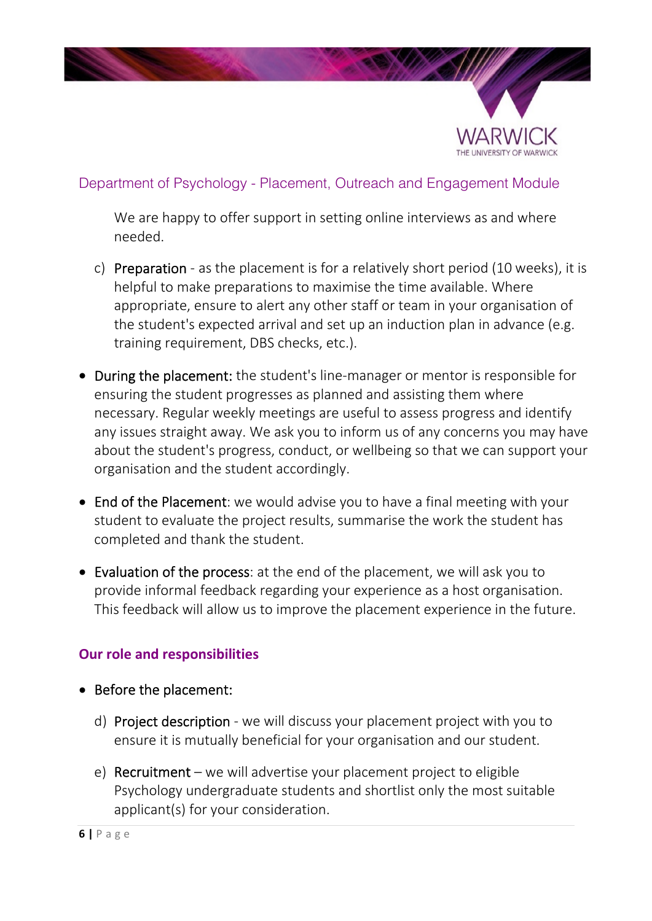

We are happy to offer support in setting online interviews as and where needed.

- c) Preparation as the placement is for a relatively short period (10 weeks), it is helpful to make preparations to maximise the time available. Where appropriate, ensure to alert any other staff or team in your organisation of the student's expected arrival and set up an induction plan in advance (e.g. training requirement, DBS checks, etc.).
- During the placement: the student's line-manager or mentor is responsible for ensuring the student progresses as planned and assisting them where necessary. Regular weekly meetings are useful to assess progress and identify any issues straight away. We ask you to inform us of any concerns you may have about the student's progress, conduct, or wellbeing so that we can support your organisation and the student accordingly.
- End of the Placement: we would advise you to have a final meeting with your student to evaluate the project results, summarise the work the student has completed and thank the student.
- Evaluation of the process: at the end of the placement, we will ask you to provide informal feedback regarding your experience as a host organisation. This feedback will allow us to improve the placement experience in the future.

## <span id="page-5-0"></span>**Our role and responsibilities**

- Before the placement:
	- d) Project description we will discuss your placement project with you to ensure it is mutually beneficial for your organisation and our student.
	- e) Recruitment we will advertise your placement project to eligible Psychology undergraduate students and shortlist only the most suitable applicant(s) for your consideration.